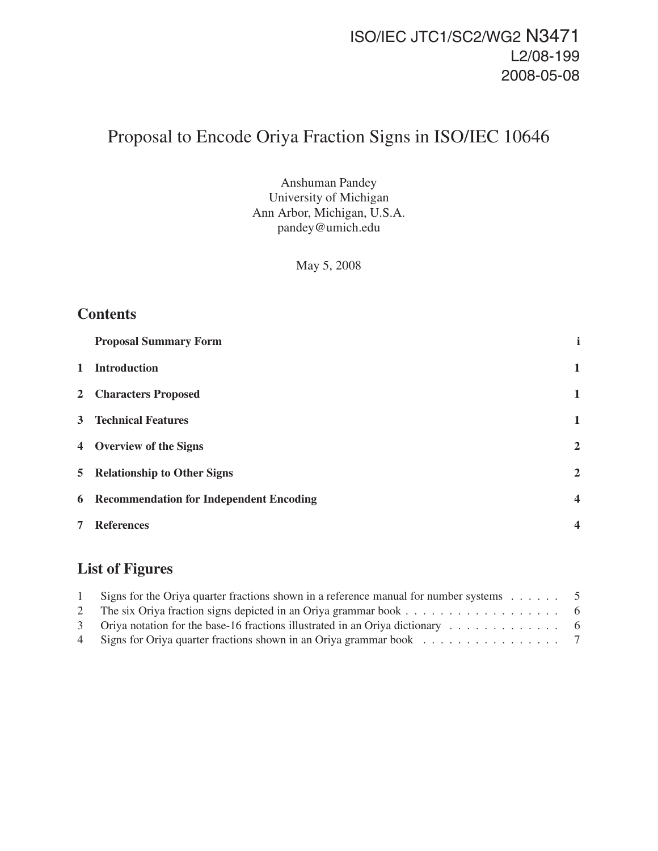# ISO/IEC JTC1/SC2/WG2 N3471 L2/08-199 2008-05-08

# Proposal to Encode Oriya Fraction Signs in ISO/IEC 10646

Anshuman Pandey University of Michigan Ann Arbor, Michigan, U.S.A. pandey@umich.edu

May 5, 2008

### **Contents**

|              | <b>Proposal Summary Form</b>                     |                  |
|--------------|--------------------------------------------------|------------------|
| $\mathbf{1}$ | <b>Introduction</b>                              | $\mathbf{1}$     |
|              | 2 Characters Proposed                            | $\mathbf{1}$     |
|              | <b>3</b> Technical Features                      | $\mathbf{1}$     |
|              | 4 Overview of the Signs                          | $\overline{2}$   |
|              | 5 Relationship to Other Signs                    | $\overline{2}$   |
|              | <b>6</b> Recommendation for Independent Encoding | $\boldsymbol{4}$ |
| 7            | <b>References</b>                                | $\overline{4}$   |

# **List of Figures**

| Signs for the Oriya quarter fractions shown in a reference manual for number systems $\dots \dots$ 5 |  |
|------------------------------------------------------------------------------------------------------|--|
|                                                                                                      |  |
|                                                                                                      |  |
| 4 Signs for Oriya quarter fractions shown in an Oriya grammar book 7                                 |  |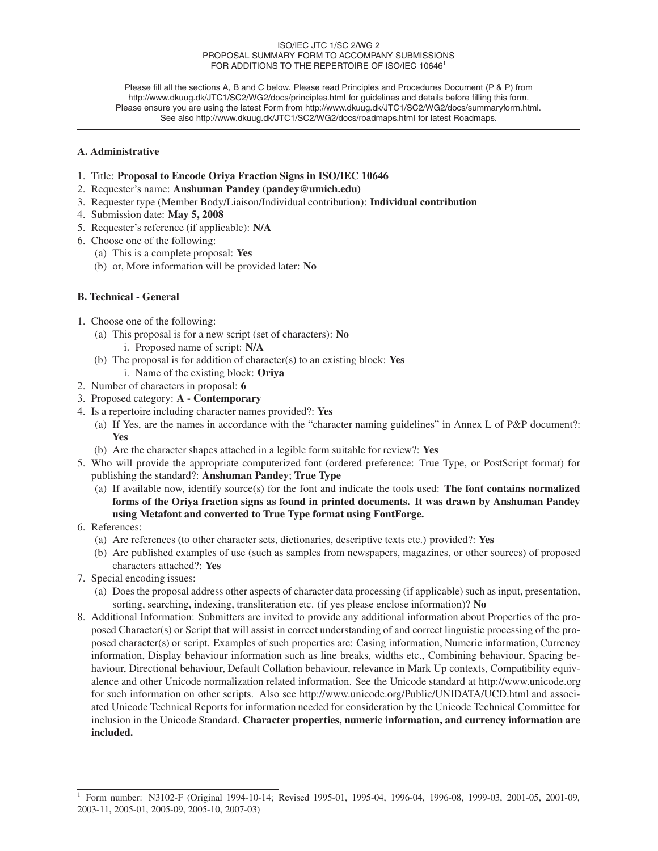#### ISO/IEC JTC 1/SC 2/WG 2 PROPOSAL SUMMARY FORM TO ACCOMPANY SUBMISSIONS FOR ADDITIONS TO THE REPERTOIRE OF ISO/IEC 10646<sup>1</sup>

Please fill all the sections A, B and C below. Please read Principles and Procedures Document (P & P) from http://www.dkuug.dk/JTC1/SC2/WG2/docs/principles.html for guidelines and details before filling this form. Please ensure you are using the latest Form from http://www.dkuug.dk/JTC1/SC2/WG2/docs/summaryform.html. See also http://www.dkuug.dk/JTC1/SC2/WG2/docs/roadmaps.html for latest Roadmaps.

#### **A. Administrative**

- 1. Title: **Proposal to Encode Oriya Fraction Signs in ISO/IEC 10646**
- 2. Requester's name: **Anshuman Pandey (pandey@umich.edu)**
- 3. Requester type (Member Body/Liaison/Individual contribution): **Individual contribution**
- 4. Submission date: **May 5, 2008**
- 5. Requester's reference (if applicable): **N/A**
- 6. Choose one of the following:
	- (a) This is a complete proposal: **Yes**
	- (b) or, More information will be provided later: **No**

#### **B. Technical - General**

- 1. Choose one of the following:
	- (a) This proposal is for a new script (set of characters): **No**
		- i. Proposed name of script: **N/A**
	- (b) The proposal is for addition of character(s) to an existing block: **Yes**
		- i. Name of the existing block: **Oriya**
- 2. Number of characters in proposal: **6**
- 3. Proposed category: **A Contemporary**
- 4. Is a repertoire including character names provided?: **Yes**
	- (a) If Yes, are the names in accordance with the "character naming guidelines" in Annex L of P&P document?: **Yes**
	- (b) Are the character shapes attached in a legible form suitable for review?: **Yes**
- 5. Who will provide the appropriate computerized font (ordered preference: True Type, or PostScript format) for publishing the standard?: **Anshuman Pandey**; **True Type**
	- (a) If available now, identify source(s) for the font and indicate the tools used: **The font contains normalized forms of the Oriya fraction signs as found in printed documents. It was drawn by Anshuman Pandey using Metafont and converted to True Type format using FontForge.**
- 6. References:
	- (a) Are references (to other character sets, dictionaries, descriptive texts etc.) provided?: **Yes**
	- (b) Are published examples of use (such as samples from newspapers, magazines, or other sources) of proposed characters attached?: **Yes**
- 7. Special encoding issues:
	- (a) Does the proposal address other aspects of character data processing (if applicable) such as input, presentation, sorting, searching, indexing, transliteration etc. (if yes please enclose information)? **No**
- 8. Additional Information: Submitters are invited to provide any additional information about Properties of the proposed Character(s) or Script that will assist in correct understanding of and correct linguistic processing of the proposed character(s) or script. Examples of such properties are: Casing information, Numeric information, Currency information, Display behaviour information such as line breaks, widths etc., Combining behaviour, Spacing behaviour, Directional behaviour, Default Collation behaviour, relevance in Mark Up contexts, Compatibility equivalence and other Unicode normalization related information. See the Unicode standard at http://www.unicode.org for such information on other scripts. Also see http://www.unicode.org/Public/UNIDATA/UCD.html and associated Unicode Technical Reports for information needed for consideration by the Unicode Technical Committee for inclusion in the Unicode Standard. **Character properties, numeric information, and currency information are included.**

<sup>1</sup> Form number: N3102-F (Original 1994-10-14; Revised 1995-01, 1995-04, 1996-04, 1996-08, 1999-03, 2001-05, 2001-09, 2003-11, 2005-01, 2005-09, 2005-10, 2007-03)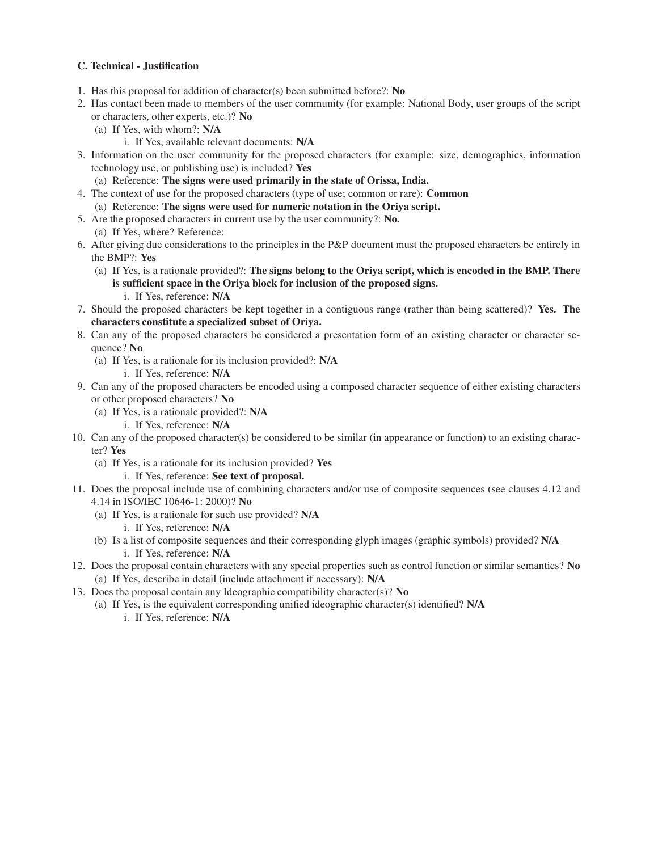#### **C. Technical - Justification**

- 1. Has this proposal for addition of character(s) been submitted before?: **No**
- 2. Has contact been made to members of the user community (for example: National Body, user groups of the script or characters, other experts, etc.)? **No**
	- (a) If Yes, with whom?: **N/A**
		- i. If Yes, available relevant documents: **N/A**
- 3. Information on the user community for the proposed characters (for example: size, demographics, information technology use, or publishing use) is included? **Yes**
	- (a) Reference: **The signs were used primarily in the state of Orissa, India.**
- 4. The context of use for the proposed characters (type of use; common or rare): **Common** (a) Reference: **The signs were used for numeric notation in the Oriya script.**
- 5. Are the proposed characters in current use by the user community?: **No.** (a) If Yes, where? Reference:
- 6. After giving due considerations to the principles in the P&P document must the proposed characters be entirely in the BMP?: **Yes**
	- (a) If Yes, is a rationale provided?: **The signs belong to the Oriya script, which is encoded in the BMP. There is sufficient space in the Oriya block for inclusion of the proposed signs.**
		- i. If Yes, reference: **N/A**
- 7. Should the proposed characters be kept together in a contiguous range (rather than being scattered)? **Yes. The characters constitute a specialized subset of Oriya.**
- 8. Can any of the proposed characters be considered a presentation form of an existing character or character sequence? **No**
	- (a) If Yes, is a rationale for its inclusion provided?: **N/A**
		- i. If Yes, reference: **N/A**
- 9. Can any of the proposed characters be encoded using a composed character sequence of either existing characters or other proposed characters? **No**
	- (a) If Yes, is a rationale provided?: **N/A**
		- i. If Yes, reference: **N/A**
- 10. Can any of the proposed character(s) be considered to be similar (in appearance or function) to an existing character? **Yes**
	- (a) If Yes, is a rationale for its inclusion provided? **Yes**
		- i. If Yes, reference: **See text of proposal.**
- 11. Does the proposal include use of combining characters and/or use of composite sequences (see clauses 4.12 and 4.14 in ISO/IEC 10646-1: 2000)? **No**
	- (a) If Yes, is a rationale for such use provided? **N/A**
		- i. If Yes, reference: **N/A**
	- (b) Is a list of composite sequences and their corresponding glyph images (graphic symbols) provided? **N/A** i. If Yes, reference: **N/A**
- 12. Does the proposal contain characters with any special properties such as control function or similar semantics? **No** (a) If Yes, describe in detail (include attachment if necessary): **N/A**
- 13. Does the proposal contain any Ideographic compatibility character(s)? **No**
	- (a) If Yes, is the equivalent corresponding unified ideographic character(s) identified? **N/A** i. If Yes, reference: **N/A**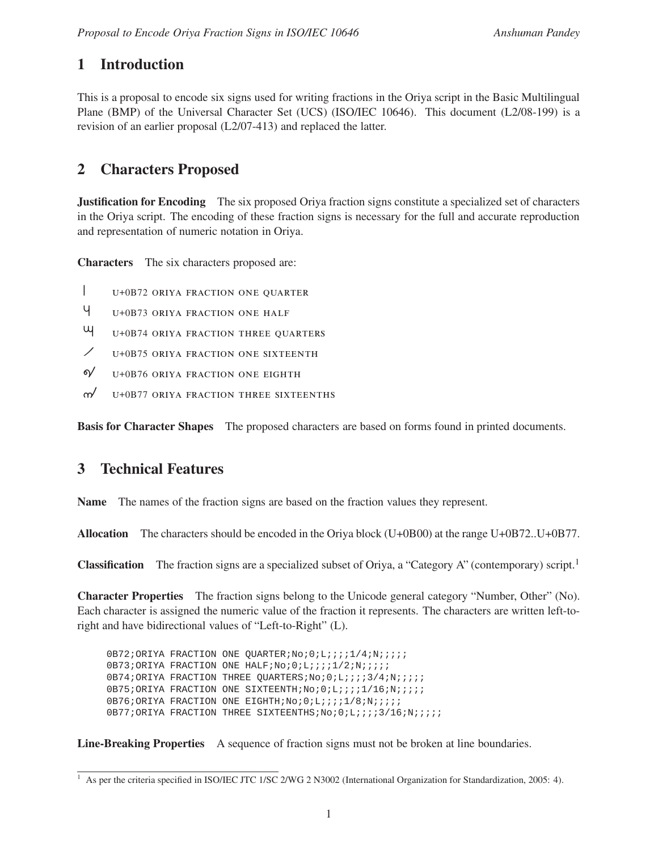### **1 Introduction**

This is a proposal to encode six signs used for writing fractions in the Oriya script in the Basic Multilingual Plane (BMP) of the Universal Character Set (UCS) (ISO/IEC 10646). This document (L2/08-199) is a revision of an earlier proposal (L2/07-413) and replaced the latter.

### **2 Characters Proposed**

**Justification for Encoding** The six proposed Oriya fraction signs constitute a specialized set of characters in the Oriya script. The encoding of these fraction signs is necessary for the full and accurate reproduction and representation of numeric notation in Oriya.

**Characters** The six characters proposed are:

- <sup>u</sup>+0B72 oriya fraction one quarter
- ˙ <sup>u</sup>+0B73 oriya fraction one half
- fi <sup>u</sup>+0B74 oriya fraction three quarters
- $\angle$  U+0B75 ORIYA FRACTION ONE SIXTEENTH
- $\gamma$  U+0B76 ORIYA FRACTION ONE EIGHTH
- $\gamma$  U+0B77 ORIYA FRACTION THREE SIXTEENTHS

**Basis for Character Shapes** The proposed characters are based on forms found in printed documents.

### **3 Technical Features**

**Name** The names of the fraction signs are based on the fraction values they represent.

**Allocation** The characters should be encoded in the Oriya block (U+0B00) at the range U+0B72..U+0B77.

**Classification** The fraction signs are a specialized subset of Oriya, a "Category A" (contemporary) script.<sup>1</sup>

**Character Properties** The fraction signs belong to the Unicode general category "Number, Other" (No). Each character is assigned the numeric value of the fraction it represents. The characters are written left-toright and have bidirectional values of "Left-to-Right" (L).

0B72;ORIYA FRACTION ONE QUARTER;No;0;L;;;;1/4;N;;;;; 0B73;ORIYA FRACTION ONE HALF;No;0;L;;;;1/2;N;;;;; 0B74;ORIYA FRACTION THREE OUARTERS;No;0;L;;;;3/4;N;;;;; 0B75;ORIYA FRACTION ONE SIXTEENTH;No;0;L;;;;1/16;N;;;;;; 0B76;ORIYA FRACTION ONE EIGHTH;No;0;L;;;;1/8;N;;;;; 0B77;ORIYA FRACTION THREE SIXTEENTHS;No;0;L;;;;3/16;N;;;;;;

**Line-Breaking Properties** A sequence of fraction signs must not be broken at line boundaries.

<sup>&</sup>lt;sup>1</sup> As per the criteria specified in ISO/IEC JTC 1/SC 2/WG 2 N3002 (International Organization for Standardization, 2005: 4).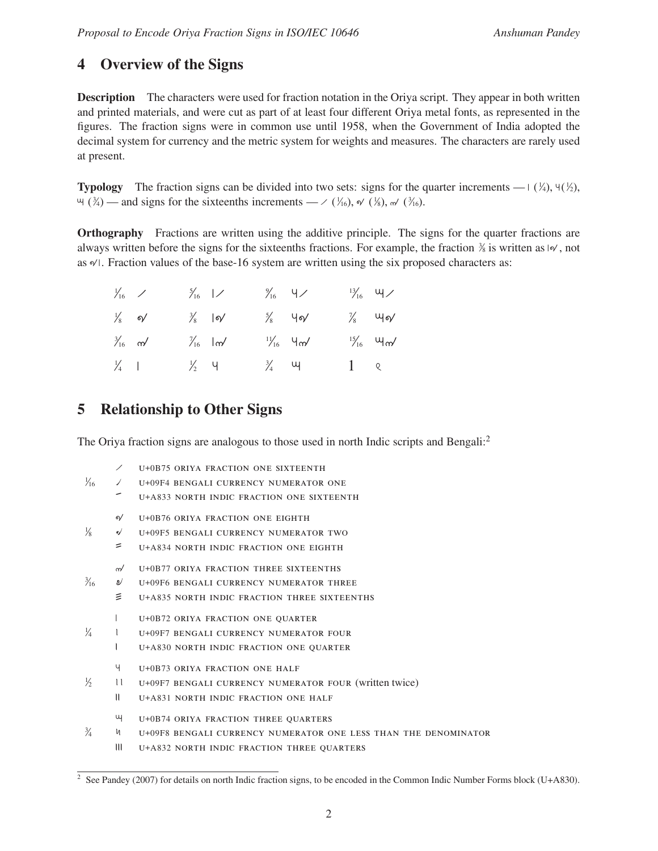## **4 Overview of the Signs**

**Description** The characters were used for fraction notation in the Oriya script. They appear in both written and printed materials, and were cut as part of at least four different Oriya metal fonts, as represented in the figures. The fraction signs were in common use until 1958, when the Government of India adopted the decimal system for currency and the metric system for weights and measures. The characters are rarely used at present.

**Typology** The fraction signs can be divided into two sets: signs for the quarter increments —  $(\frac{1}{4}), \frac{1}{2}, (\frac{1}{2})$ ,  $\forall$  ( $\frac{3}{4}$ ) — and signs for the sixteenths increments — / ( $\frac{1}{16}$ ),  $\forall$  ( $\frac{1}{8}$ ),  $\forall$  ( $\frac{3}{16}$ ).

**Orthography** Fractions are written using the additive principle. The signs for the quarter fractions are always written before the signs for the sixteenths fractions. For example, the fraction  $\frac{3}{8}$  is written as  $\frac{1}{8}$ , not as  $\mathcal{A}$ . Fraction values of the base-16 system are written using the six proposed characters as:

| $\frac{1}{16}$ /  |  | $\frac{5}{16}$  /             | $\frac{9}{16}$ $\frac{4}{1}$ | $\frac{13}{16}$ $\frac{13}{16}$ |
|-------------------|--|-------------------------------|------------------------------|---------------------------------|
| $\frac{1}{8}$ o/  |  | $\frac{3}{8}$  o/             | $\frac{5}{8}$ 4o/            | $\frac{1}{8}$ $\frac{1}{8}$     |
| $\frac{3}{16}$ m/ |  | $\frac{7}{16}$ $\frac{1}{20}$ | $\frac{11}{16}$ 4m/          | $\frac{15}{16}$ $\frac{15}{16}$ |
| $\frac{1}{4}$     |  | $\frac{1}{2}$ 4               | $\frac{3}{4}$ $\frac{11}{4}$ | $1 \quad \text{Q}$              |

# **5 Relationship to Other Signs**

The Oriya fraction signs are analogous to those used in north Indic scripts and Bengali:<sup>2</sup>

|                |              | U+0B75 ORIYA FRACTION ONE SIXTEENTH                             |
|----------------|--------------|-----------------------------------------------------------------|
| $\frac{1}{16}$ | ノ            | U+09F4 BENGALI CURRENCY NUMERATOR ONE                           |
|                |              | U+A833 NORTH INDIC FRACTION ONE SIXTEENTH                       |
|                | ี            | U+0B76 ORIYA FRACTION ONE EIGHTH                                |
| ⅓              | จ∕           | U+09F5 BENGALI CURRENCY NUMERATOR TWO                           |
|                | =            | U+A834 NORTH INDIC FRACTION ONE EIGHTH                          |
|                | $\sim$       | U+0B77 ORIYA FRACTION THREE SIXTEENTHS                          |
| $\frac{3}{16}$ | ಲ            | U+09F6 BENGALI CURRENCY NUMERATOR THREE                         |
|                | 亖            | U+A835 NORTH INDIC FRACTION THREE SIXTEENTHS                    |
|                |              | U+0B72 ORIYA FRACTION ONE QUARTER                               |
| ¼              |              | U+09F7 BENGALI CURRENCY NUMERATOR FOUR                          |
|                |              | U+A830 NORTH INDIC FRACTION ONE QUARTER                         |
|                | Ч            | U+0B73 ORIYA FRACTION ONE HALF                                  |
| ℅              | $\mathbf{u}$ | U+09F7 BENGALI CURRENCY NUMERATOR FOUR (written twice)          |
|                | $\mathbf{u}$ | U+A831 NORTH INDIC FRACTION ONE HALF                            |
|                | щ            | U+0B74 ORIYA FRACTION THREE QUARTERS                            |
| $\frac{3}{4}$  | и            | U+09F8 BENGALI CURRENCY NUMERATOR ONE LESS THAN THE DENOMINATOR |
|                | Ш            | U+A832 NORTH INDIC FRACTION THREE QUARTERS                      |
|                |              |                                                                 |

<sup>&</sup>lt;sup>2</sup> See Pandey (2007) for details on north Indic fraction signs, to be encoded in the Common Indic Number Forms block (U+A830).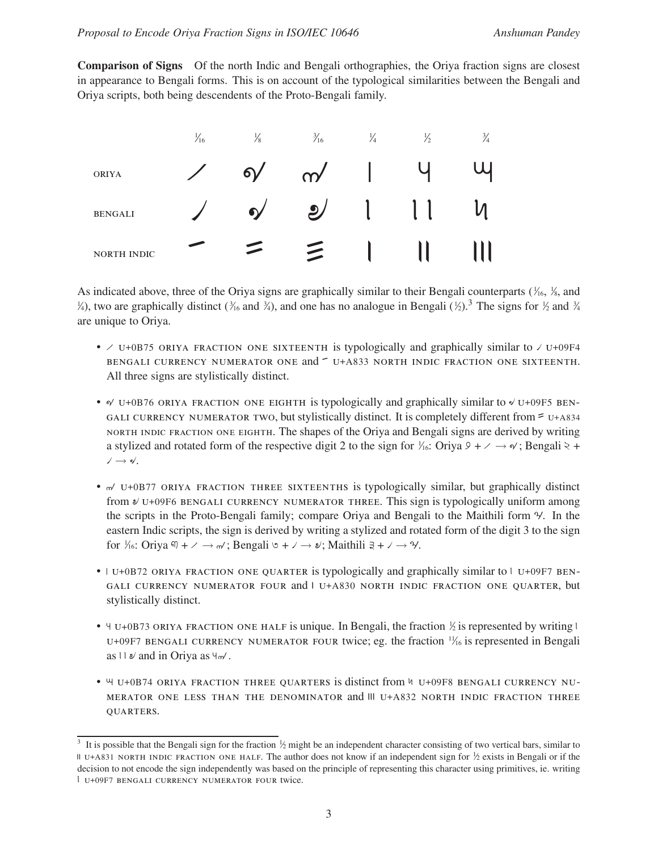**Comparison of Signs** Of the north Indic and Bengali orthographies, the Oriya fraction signs are closest in appearance to Bengali forms. This is on account of the typological similarities between the Bengali and Oriya scripts, both being descendents of the Proto-Bengali family.



As indicated above, three of the Oriya signs are graphically similar to their Bengali counterparts ( $\frac{1}{6}$ ,  $\frac{1}{8}$ , and  $\frac{1}{2}$ , two are graphically distinct ( $\frac{3}{16}$  and  $\frac{3}{4}$ ), and one has no analogue in Bengali ( $\frac{1}{2}$ ).<sup>3</sup> The signs for  $\frac{1}{2}$  and  $\frac{3}{4}$ are unique to Oriya.

- $\vee$  U+0B75 ORIYA FRACTION ONE SIXTEENTH is typologically and graphically similar to  $\vee$  U+09F4 BENGALI CURRENCY NUMERATOR ONE and  $\sim$  U+A833 NORTH INDIC FRACTION ONE SIXTEENTH. All three signs are stylistically distinct.
- $\alpha$  U+0B76 ORIYA FRACTION ONE EIGHTH is typologically and graphically similar to  $\alpha$  U+09F5 BEN-GALI CURRENCY NUMERATOR TWO, but stylistically distinct. It is completely different from  $\epsilon$  u+A834 north indic fraction one eighth. The shapes of the Oriya and Bengali signs are derived by writing a stylized and rotated form of the respective digit 2 to the sign for  $\frac{1}{16}$ : Oriya  $9 + \frac{1}{16}$  +  $\frac{1}{16}$  +  $\frac{1}{16}$  +  $\vee \rightarrow \bullet'.$
- $\alpha$  U+0B77 ORIYA FRACTION THREE SIXTEENTHS is typologically similar, but graphically distinct from  $\ell$  U+09F6 BENGALI CURRENCY NUMERATOR THREE. This sign is typologically uniform among the scripts in the Proto-Bengali family; compare Oriya and Bengali to the Maithili form ˘. In the eastern Indic scripts, the sign is derived by writing a stylized and rotated form of the digit 3 to the sign for  $\frac{1}{6}$ : Oriya  $\overline{M}$  +  $\rightarrow \rightarrow \rightarrow$ ; Bengali  $\circ$  +  $\rightarrow \rightarrow \bullet$ ; Maithili  $\overline{a}$  +  $\rightarrow \rightarrow \bullet$ .
- $\bullet$   $\vert$  U+0B72 ORIYA FRACTION ONE QUARTER is typologically and graphically similar to  $\vert$  U+09F7 BEN-GALI CURRENCY NUMERATOR FOUR and I U+A830 NORTH INDIC FRACTION ONE QUARTER, but stylistically distinct.
- $\forall$  U+0B73 ORIYA FRACTION ONE HALF is unique. In Bengali, the fraction  $\frac{1}{2}$  is represented by writing l U+09F7 BENGALI CURRENCY NUMERATOR FOUR twice; eg. the fraction  $\frac{1}{16}$  is represented in Bengali as  $\cup \mathcal{A}$  and in Oriya as  $\forall \sim'$ .
- $\mu$  U+0B74 ORIYA FRACTION THREE QUARTERS is distinct from  $\nu$  U+09F8 BENGALI CURRENCY NU-MERATOR ONE LESS THAN THE DENOMINATOR and III U+A832 NORTH INDIC FRACTION THREE quarters.

<sup>&</sup>lt;sup>3</sup> It is possible that the Bengali sign for the fraction  $\frac{1}{2}$  might be an independent character consisting of two vertical bars, similar to If U+A831 NORTH INDIC FRACTION ONE HALF. The author does not know if an independent sign for  $\frac{1}{2}$  exists in Bengali or if the decision to not encode the sign independently was based on the principle of representing this character using primitives, ie. writing <sup>u</sup>+09F7 bengali currency numerator four twice.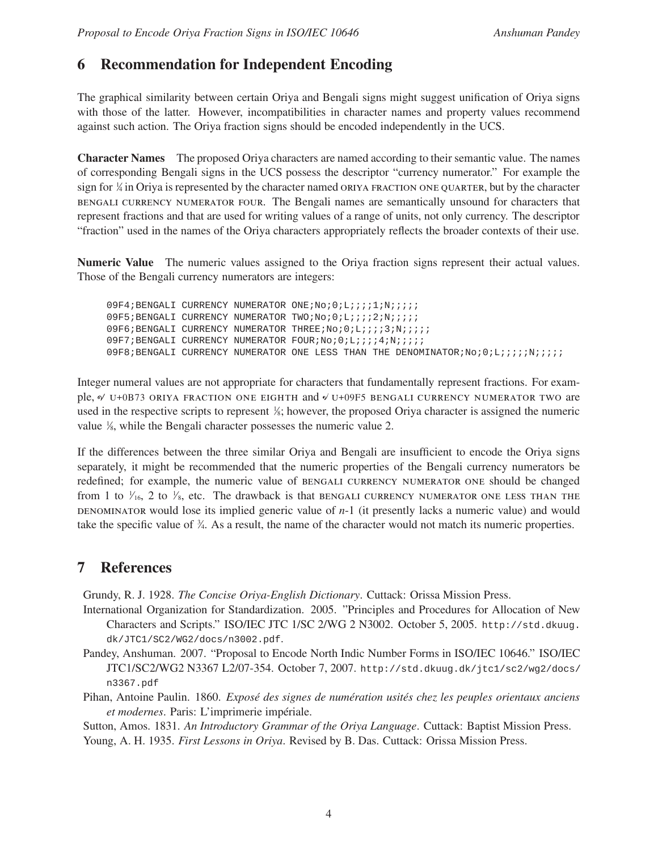### **6 Recommendation for Independent Encoding**

The graphical similarity between certain Oriya and Bengali signs might suggest unification of Oriya signs with those of the latter. However, incompatibilities in character names and property values recommend against such action. The Oriya fraction signs should be encoded independently in the UCS.

**Character Names** The proposed Oriya characters are named according to their semantic value. The names of corresponding Bengali signs in the UCS possess the descriptor "currency numerator." For example the sign for  $\frac{1}{4}$  in Oriya is represented by the character named ORIYA FRACTION ONE QUARTER, but by the character bengali currency numerator four. The Bengali names are semantically unsound for characters that represent fractions and that are used for writing values of a range of units, not only currency. The descriptor "fraction" used in the names of the Oriya characters appropriately reflects the broader contexts of their use.

**Numeric Value** The numeric values assigned to the Oriya fraction signs represent their actual values. Those of the Bengali currency numerators are integers:

09F4;BENGALI CURRENCY NUMERATOR ONE;No;0;L;;;;1;N;;;;; 09F5;BENGALI CURRENCY NUMERATOR TWO;No;0;L;;;;2;N;;;;; 09F6;BENGALI CURRENCY NUMERATOR THREE;No;0;L;;;;3;N;;;;;; 09F7;BENGALI CURRENCY NUMERATOR FOUR;No;0;L;;;;4;N;;;;;; 09F8;BENGALI CURRENCY NUMERATOR ONE LESS THAN THE DENOMINATOR;No;0;L;;;;;N;;;;;

Integer numeral values are not appropriate for characters that fundamentally represent fractions. For example,  $\alpha$  U+0B73 ORIYA FRACTION ONE EIGHTH and  $\checkmark$  U+09F5 bengali currency numerator two are used in the respective scripts to represent  $\frac{1}{6}$ ; however, the proposed Oriya character is assigned the numeric value  $\frac{1}{8}$ , while the Bengali character possesses the numeric value 2.

If the differences between the three similar Oriya and Bengali are insufficient to encode the Oriya signs separately, it might be recommended that the numeric properties of the Bengali currency numerators be redefined; for example, the numeric value of bengali currency numerator one should be changed from 1 to  $\frac{1}{16}$ , 2 to  $\frac{1}{8}$ , etc. The drawback is that BENGALI CURRENCY NUMERATOR ONE LESS THAN THE denominator would lose its implied generic value of *n*-1 (it presently lacks a numeric value) and would take the specific value of  $\frac{3}{4}$ . As a result, the name of the character would not match its numeric properties.

### **7 References**

Grundy, R. J. 1928. *The Concise Oriya-English Dictionary*. Cuttack: Orissa Mission Press.

- International Organization for Standardization. 2005. "Principles and Procedures for Allocation of New Characters and Scripts." ISO/IEC JTC 1/SC 2/WG 2 N3002. October 5, 2005. http://std.dkuug. dk/JTC1/SC2/WG2/docs/n3002.pdf.
- Pandey, Anshuman. 2007. "Proposal to Encode North Indic Number Forms in ISO/IEC 10646." ISO/IEC JTC1/SC2/WG2 N3367 L2/07-354. October 7, 2007. http://std.dkuug.dk/jtc1/sc2/wg2/docs/ n3367.pdf
- Pihan, Antoine Paulin. 1860. *Exposé des signes de numération usités chez les peuples orientaux anciens et modernes*. Paris: L'imprimerie impériale.

Sutton, Amos. 1831. *An Introductory Grammar of the Oriya Language*. Cuttack: Baptist Mission Press.

Young, A. H. 1935. *First Lessons in Oriya*. Revised by B. Das. Cuttack: Orissa Mission Press.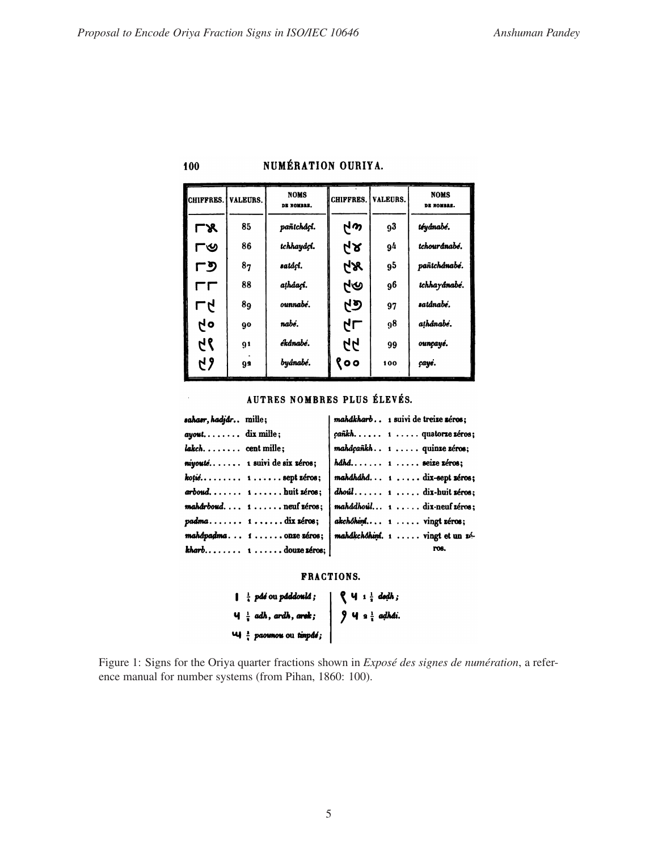$\hat{\boldsymbol{\alpha}}$ 

### NUMÉRATION OURIYA.

| CHIFFRES. I | <b>VALEURS.</b> | <b>NOMS</b><br>DE NOMBRE. | <b>CHIFFRES.</b> | <b>VALEURS.</b> | <b>NOMS</b><br>DE NOMBRE. |
|-------------|-----------------|---------------------------|------------------|-----------------|---------------------------|
| ГЖ          | 85              | pañtcháçí.                | GN               | 93              | téyánabé.                 |
| ୮৩          | 86              | tchhayáçí.                | ५४               | 94              | tchourdnabé.              |
| アク          | 8 <sub>7</sub>  | satáçi.                   | ÅХ               | 95              | pañtchánabé.              |
| rг          | 88              | atháací.                  | ৸৩               | 96              | tchhayánabé.              |
| アイ          | 89              | ounnabé.                  | ମେ               | 97              | satánabé.                 |
| 6 h         | 90              | nabé.                     | طل               | 98              | athânabé.                 |
| 67          | 91              | ékánabé.                  | 44               | 99              | ounçayé.                  |
| 67          | Q9              | byánabé.                  | १००              | 100             | çayé.                     |

#### AUTRES NOMBRES PLUS ÉLEVÉS.

| sahasr, hadjár mille;                                   | mahákharb 1 suivi de treize zéros;                               |
|---------------------------------------------------------|------------------------------------------------------------------|
| ayout dix mille;                                        | cañkh 1  quatorze zéros;                                         |
| lakch cent mille;                                       | mahácañkh 1  quinze zéros;                                       |
| niyouté 1 suivi de six zéros;                           | $hdhd \ldots 1 \ldots$ seize zéros;                              |
| $k$ oțié 1 sept zéros;                                  | $mahdhdhd$ 1 . $\dots$ dix-sept zéros;                           |
| arboud 1buit zéros;                                     | $\mathbf{d}$ hoúl 1 dix-huit zéros:                              |
| $mathd$ rboud $1 \ldots$ neuf zéros;                    | $mathd$ <i>mahádhoúl</i> $1 \cdot \cdot \cdot$ . dix-neuf zéros: |
| $padma \ldots \ldots 1 \ldots \ldots \text{dix zéros};$ | akchóhimí 1  vingt zéros;                                        |
| mahdpadma 1 one zeros;                                  | mahdkchóhiní. 1 vingt et un zé-                                  |
| $\mathbf{k}$ harb 1 douze zéros;                        | ros.                                                             |
|                                                         |                                                                  |

#### FRACTIONS.

|  | $\mathbf{I} \frac{1}{2}$ pád ou páddoulá; |  | $\int$ $\int$ $\int$ $\frac{1}{3}$ dodh; |
|--|-------------------------------------------|--|------------------------------------------|
|  | $4\frac{1}{2}$ adh, ardh, arek;           |  | $\int$ 9 $\frac{1}{3}$ adhái.            |
|  | $\mathbf{u}$ = paormou ou timpds;         |  |                                          |

Figure 1: Signs for the Oriya quarter fractions shown in *Exposé des signes de numération*, a reference manual for number systems (from Pihan, 1860: 100).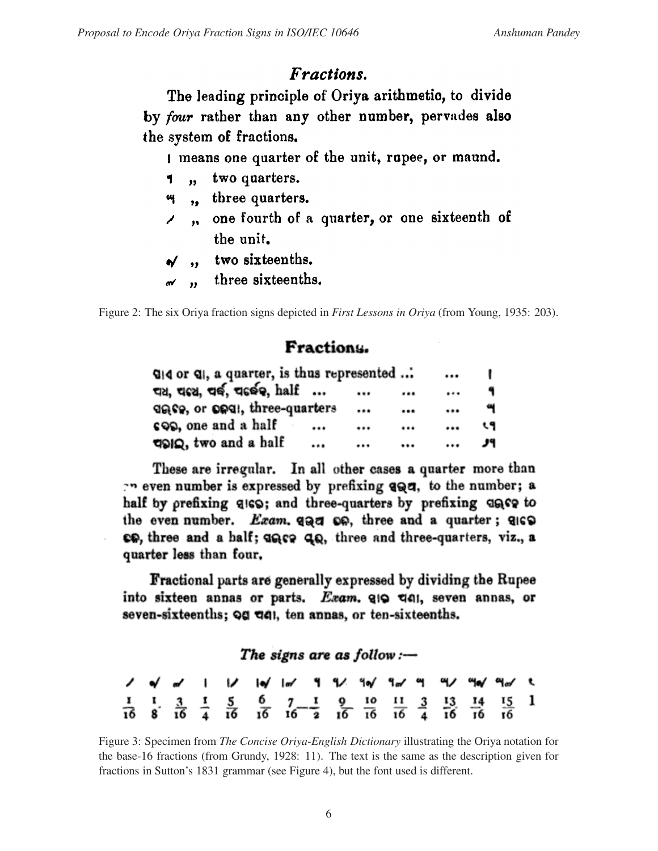# Fractions.

The leading principle of Oriya arithmetic, to divide by four rather than any other number, pervades also the system of fractions.

I means one quarter of the unit, rupee, or maund.

- 1, two quarters.
- ", three quarters.
- , one fourth of a quarter, or one sixteenth of the unit.
- $\gamma$ , two sixteenths.
- $\mathcal{L}$ , three sixteenths.

Figure 2: The six Oriya fraction signs depicted in *First Lessons in Oriya* (from Young, 1935: 203).

# Fractions.

| $Q$   4 or $Q$  , a quarter, is thus represented |      | $\cdots$ |     |
|--------------------------------------------------|------|----------|-----|
| चय, चढ्य, चर्छ, चढर्छ, half                      |      | <br>     | ٩   |
| does, or onel, three-quarters                    |      | <br>     | વ   |
| cop, one and a half                              | <br> | <br>     | ९१  |
| doing, two and a half                            | <br> | <br>     | الا |

These are irregular. In all other cases a quarter more than even number is expressed by prefixing and, to the number; a half by prefixing qIGS; and three-quarters by prefixing quee to the even number. Exam. and on, three and a quarter; also co, three and a half; ance and three-quarters, viz., a quarter less than four.

Fractional parts are generally expressed by dividing the Rupee into sixteen annas or parts. Exam. 910 dell, seven annas, or seven-sixteenths; og del, ten annas, or ten-sixteenths.

The signs are as  $follow:$ —

|  |  |  |  |  |  |  | <b>/ o/</b> a/     <b>/  o/  </b> a/ 9 9/ 9o/ 9a/ 99 9/ 9o/ 9a/ t                                                                                                                                                  |  |
|--|--|--|--|--|--|--|--------------------------------------------------------------------------------------------------------------------------------------------------------------------------------------------------------------------|--|
|  |  |  |  |  |  |  | $\frac{1}{16}$ $\frac{1}{8}$ $\frac{3}{16}$ $\frac{4}{4}$ $\frac{5}{16}$ $\frac{6}{16}$ $\frac{7}{16}$ $\frac{1}{16}$ $\frac{9}{16}$ $\frac{10}{16}$ $\frac{11}{16}$ $\frac{3}{4}$ $\frac{13}{16}$ $\frac{14}{16}$ |  |

Figure 3: Specimen from *The Concise Oriya-English Dictionary* illustrating the Oriya notation for the base-16 fractions (from Grundy, 1928: 11). The text is the same as the description given for fractions in Sutton's 1831 grammar (see Figure 4), but the font used is different.